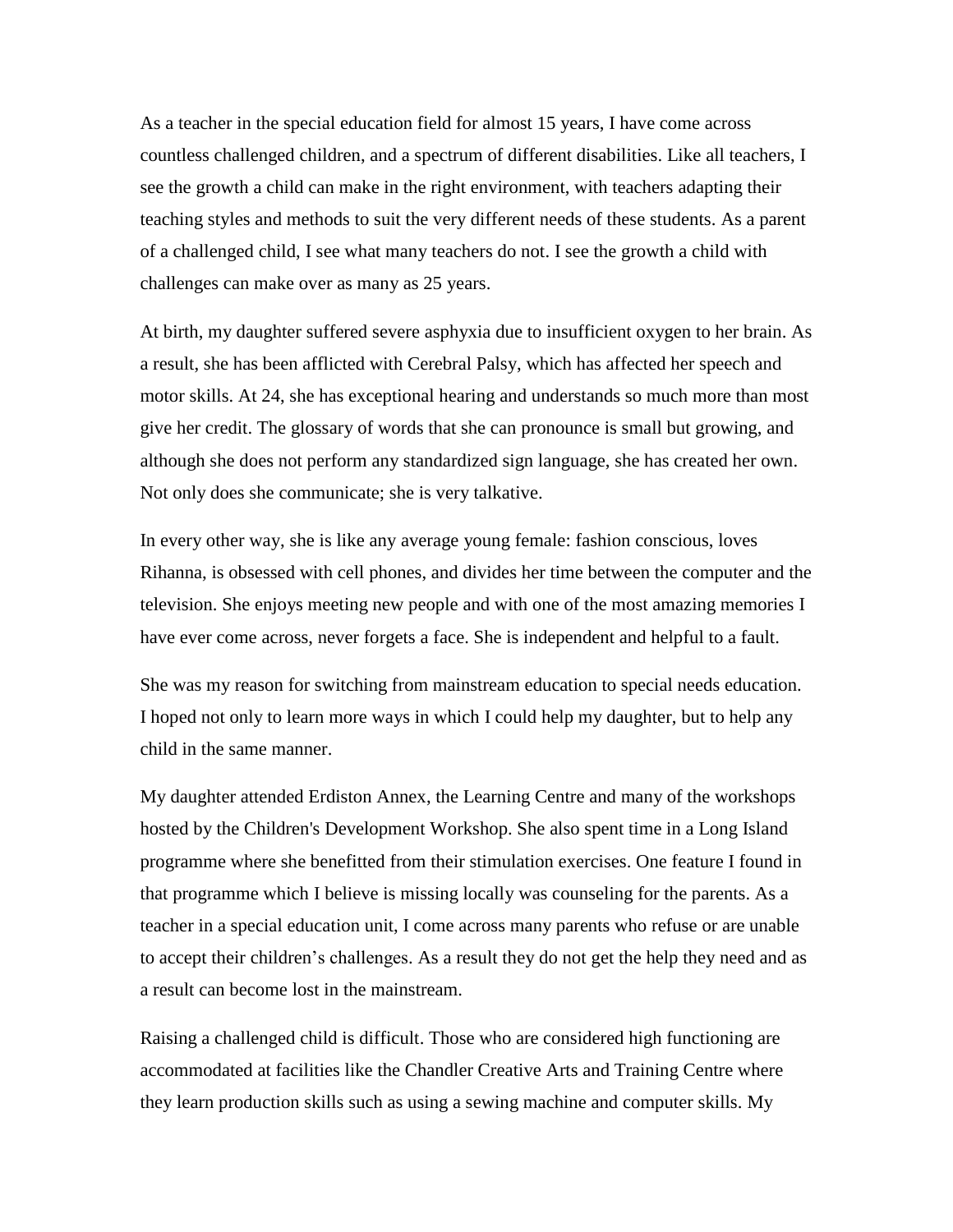As a teacher in the special education field for almost 15 years, I have come across countless challenged children, and a spectrum of different disabilities. Like all teachers, I see the growth a child can make in the right environment, with teachers adapting their teaching styles and methods to suit the very different needs of these students. As a parent of a challenged child, I see what many teachers do not. I see the growth a child with challenges can make over as many as 25 years.

At birth, my daughter suffered severe asphyxia due to insufficient oxygen to her brain. As a result, she has been afflicted with Cerebral Palsy, which has affected her speech and motor skills. At 24, she has exceptional hearing and understands so much more than most give her credit. The glossary of words that she can pronounce is small but growing, and although she does not perform any standardized sign language, she has created her own. Not only does she communicate; she is very talkative.

In every other way, she is like any average young female: fashion conscious, loves Rihanna, is obsessed with cell phones, and divides her time between the computer and the television. She enjoys meeting new people and with one of the most amazing memories I have ever come across, never forgets a face. She is independent and helpful to a fault.

She was my reason for switching from mainstream education to special needs education. I hoped not only to learn more ways in which I could help my daughter, but to help any child in the same manner.

My daughter attended Erdiston Annex, the Learning Centre and many of the workshops hosted by the Children's Development Workshop. She also spent time in a Long Island programme where she benefitted from their stimulation exercises. One feature I found in that programme which I believe is missing locally was counseling for the parents. As a teacher in a special education unit, I come across many parents who refuse or are unable to accept their children's challenges. As a result they do not get the help they need and as a result can become lost in the mainstream.

Raising a challenged child is difficult. Those who are considered high functioning are accommodated at facilities like the Chandler Creative Arts and Training Centre where they learn production skills such as using a sewing machine and computer skills. My